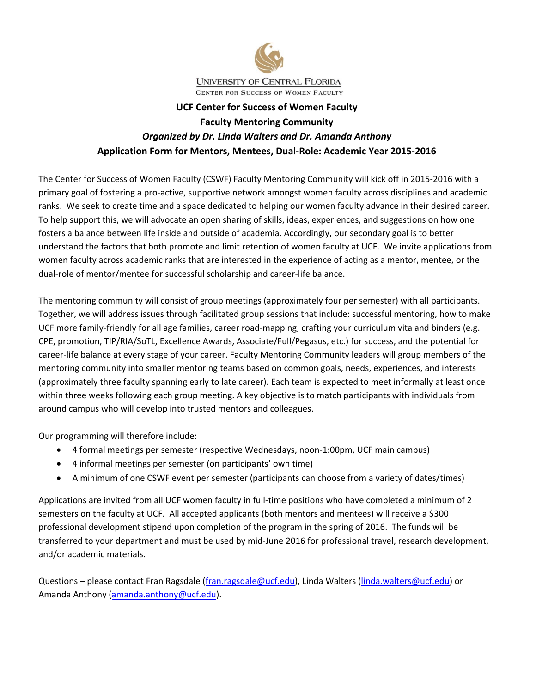

# **UCF Center for Success of Women Faculty Faculty Mentoring Community** *Organized by Dr. Linda Walters and Dr. Amanda Anthony* **Application Form for Mentors, Mentees, Dual‐Role: Academic Year 2015‐2016**

The Center for Success of Women Faculty (CSWF) Faculty Mentoring Community will kick off in 2015‐2016 with a primary goal of fostering a pro‐active, supportive network amongst women faculty across disciplines and academic ranks. We seek to create time and a space dedicated to helping our women faculty advance in their desired career. To help support this, we will advocate an open sharing of skills, ideas, experiences, and suggestions on how one fosters a balance between life inside and outside of academia. Accordingly, our secondary goal is to better understand the factors that both promote and limit retention of women faculty at UCF. We invite applications from women faculty across academic ranks that are interested in the experience of acting as a mentor, mentee, or the dual‐role of mentor/mentee for successful scholarship and career‐life balance.

The mentoring community will consist of group meetings (approximately four per semester) with all participants. Together, we will address issues through facilitated group sessions that include: successful mentoring, how to make UCF more family-friendly for all age families, career road-mapping, crafting your curriculum vita and binders (e.g. CPE, promotion, TIP/RIA/SoTL, Excellence Awards, Associate/Full/Pegasus, etc.) for success, and the potential for career‐life balance at every stage of your career. Faculty Mentoring Community leaders will group members of the mentoring community into smaller mentoring teams based on common goals, needs, experiences, and interests (approximately three faculty spanning early to late career). Each team is expected to meet informally at least once within three weeks following each group meeting. A key objective is to match participants with individuals from around campus who will develop into trusted mentors and colleagues.

Our programming will therefore include:

- 4 formal meetings per semester (respective Wednesdays, noon‐1:00pm, UCF main campus)
- 4 informal meetings per semester (on participants' own time)
- A minimum of one CSWF event per semester (participants can choose from a variety of dates/times)

Applications are invited from all UCF women faculty in full-time positions who have completed a minimum of 2 semesters on the faculty at UCF. All accepted applicants (both mentors and mentees) will receive a \$300 professional development stipend upon completion of the program in the spring of 2016. The funds will be transferred to your department and must be used by mid‐June 2016 for professional travel, research development, and/or academic materials.

Questions – please contact Fran Ragsdale (fran.ragsdale@ucf.edu), Linda Walters (linda.walters@ucf.edu) or Amanda Anthony (amanda.anthony@ucf.edu).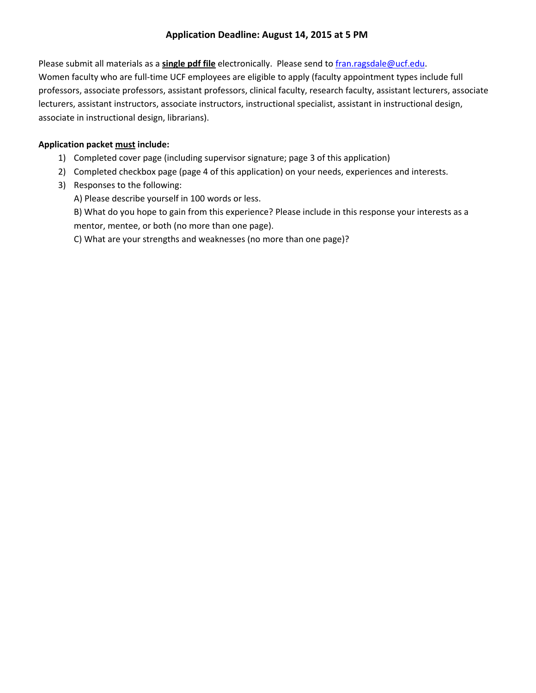#### **Application Deadline: August 14, 2015 at 5 PM**

Please submit all materials as a **single pdf file** electronically. Please send to fran.ragsdale@ucf.edu. Women faculty who are full-time UCF employees are eligible to apply (faculty appointment types include full professors, associate professors, assistant professors, clinical faculty, research faculty, assistant lecturers, associate lecturers, assistant instructors, associate instructors, instructional specialist, assistant in instructional design, associate in instructional design, librarians).

### **Application packet must include:**

- 1) Completed cover page (including supervisor signature; page 3 of this application)
- 2) Completed checkbox page (page 4 of this application) on your needs, experiences and interests.
- 3) Responses to the following:
	- A) Please describe yourself in 100 words or less.
	- B) What do you hope to gain from this experience? Please include in this response your interests as a mentor, mentee, or both (no more than one page).

C) What are your strengths and weaknesses (no more than one page)?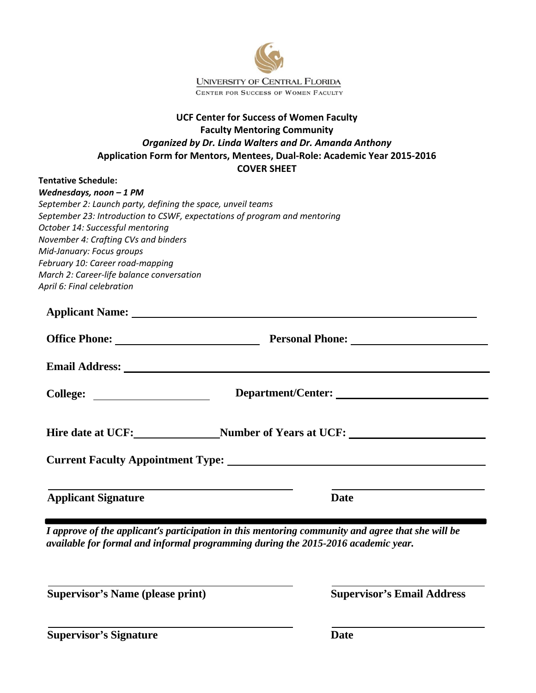

### **UCF Center for Success of Women Faculty Faculty Mentoring Community** *Organized by Dr. Linda Walters and Dr. Amanda Anthony* **Application Form for Mentors, Mentees, Dual‐Role: Academic Year 2015‐2016 COVER SHEET**

#### **Tentative Schedule:**

| Wednesdays, noon $-1$ PM                                                  |
|---------------------------------------------------------------------------|
| September 2: Launch party, defining the space, unveil teams               |
| September 23: Introduction to CSWF, expectations of program and mentoring |
| October 14: Successful mentoring                                          |
| November 4: Crafting CVs and binders                                      |
| Mid-January: Focus groups                                                 |
| February 10: Career road-mapping                                          |
| March 2: Career-life balance conversation                                 |
| April 6: Final celebration                                                |

| Applicant Name: 1988 and 2008 and 2008 and 2008 and 2008 and 2008 and 2008 and 2008 and 2008 and 2008 and 2008 and 2008 and 2008 and 2008 and 2008 and 2008 and 2008 and 2008 and 2008 and 2008 and 2008 and 2008 and 2008 and |                                               |  |  |  |
|--------------------------------------------------------------------------------------------------------------------------------------------------------------------------------------------------------------------------------|-----------------------------------------------|--|--|--|
|                                                                                                                                                                                                                                | Office Phone: Personal Phone: Personal Phone: |  |  |  |
|                                                                                                                                                                                                                                |                                               |  |  |  |
|                                                                                                                                                                                                                                | Department/Center:                            |  |  |  |
| Hire date at UCF:<br><u>Number of Years at UCF:</u>                                                                                                                                                                            |                                               |  |  |  |
|                                                                                                                                                                                                                                |                                               |  |  |  |
|                                                                                                                                                                                                                                |                                               |  |  |  |
| <b>Applicant Signature</b>                                                                                                                                                                                                     | Date                                          |  |  |  |

*I approve of the applicant's participation in this mentoring community and agree that she will be available for formal and informal programming during the 2015-2016 academic year.* 

**Supervisor's Name (please print)** Supervisor's Email Address

**Supervisor's Signature Date** Date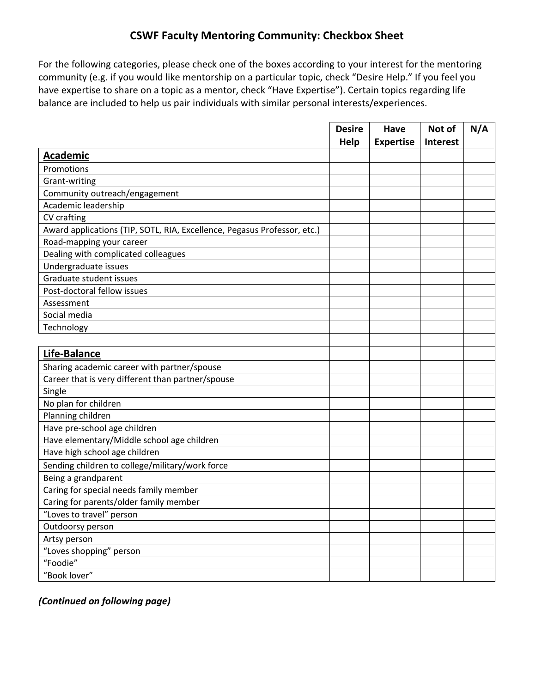# **CSWF Faculty Mentoring Community: Checkbox Sheet**

For the following categories, please check one of the boxes according to your interest for the mentoring community (e.g. if you would like mentorship on a particular topic, check "Desire Help." If you feel you have expertise to share on a topic as a mentor, check "Have Expertise"). Certain topics regarding life balance are included to help us pair individuals with similar personal interests/experiences.

|                                                                          | <b>Desire</b> | <b>Have</b>      | Not of          | N/A |
|--------------------------------------------------------------------------|---------------|------------------|-----------------|-----|
|                                                                          | Help          | <b>Expertise</b> | <b>Interest</b> |     |
| <b>Academic</b>                                                          |               |                  |                 |     |
| Promotions                                                               |               |                  |                 |     |
| Grant-writing                                                            |               |                  |                 |     |
| Community outreach/engagement                                            |               |                  |                 |     |
| Academic leadership                                                      |               |                  |                 |     |
| CV crafting                                                              |               |                  |                 |     |
| Award applications (TIP, SOTL, RIA, Excellence, Pegasus Professor, etc.) |               |                  |                 |     |
| Road-mapping your career                                                 |               |                  |                 |     |
| Dealing with complicated colleagues                                      |               |                  |                 |     |
| Undergraduate issues                                                     |               |                  |                 |     |
| Graduate student issues                                                  |               |                  |                 |     |
| Post-doctoral fellow issues                                              |               |                  |                 |     |
| Assessment                                                               |               |                  |                 |     |
| Social media                                                             |               |                  |                 |     |
| Technology                                                               |               |                  |                 |     |
|                                                                          |               |                  |                 |     |
| Life-Balance                                                             |               |                  |                 |     |
| Sharing academic career with partner/spouse                              |               |                  |                 |     |
| Career that is very different than partner/spouse                        |               |                  |                 |     |
| Single                                                                   |               |                  |                 |     |
| No plan for children                                                     |               |                  |                 |     |
| Planning children                                                        |               |                  |                 |     |
| Have pre-school age children                                             |               |                  |                 |     |
| Have elementary/Middle school age children                               |               |                  |                 |     |
| Have high school age children                                            |               |                  |                 |     |
| Sending children to college/military/work force                          |               |                  |                 |     |
| Being a grandparent                                                      |               |                  |                 |     |
| Caring for special needs family member                                   |               |                  |                 |     |
| Caring for parents/older family member                                   |               |                  |                 |     |
| "Loves to travel" person                                                 |               |                  |                 |     |
| Outdoorsy person                                                         |               |                  |                 |     |
| Artsy person                                                             |               |                  |                 |     |
| "Loves shopping" person                                                  |               |                  |                 |     |
| "Foodie"                                                                 |               |                  |                 |     |
| "Book lover"                                                             |               |                  |                 |     |

*(Continued on following page)*